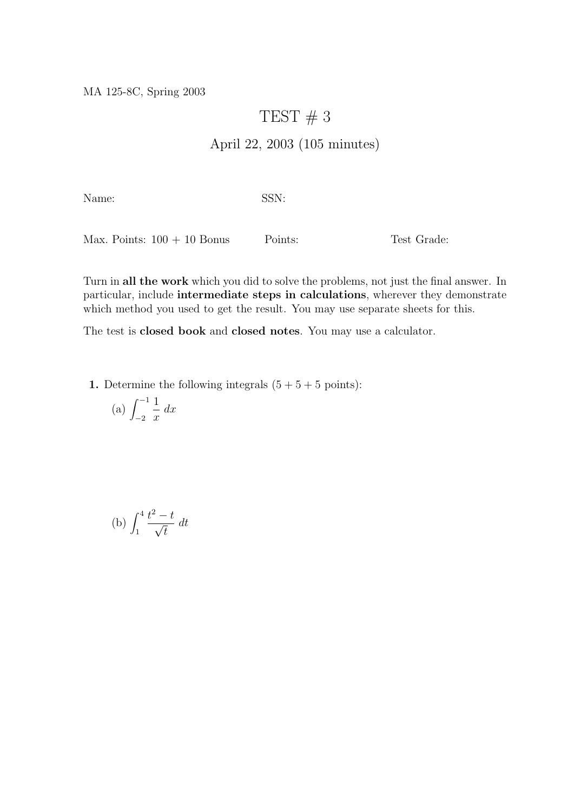MA 125-8C, Spring 2003

## TEST  $# 3$

## April 22, 2003 (105 minutes)

Name: SSN:

Max. Points:  $100 + 10$  Bonus Points: Test Grade:

Turn in all the work which you did to solve the problems, not just the final answer. In particular, include intermediate steps in calculations, wherever they demonstrate which method you used to get the result. You may use separate sheets for this.

The test is closed book and closed notes. You may use a calculator.

1. Determine the following integrals  $(5 + 5 + 5 \text{ points})$ :

(a) 
$$
\int_{-2}^{-1} \frac{1}{x} dx
$$

(b) 
$$
\int_{1}^{4} \frac{t^2 - t}{\sqrt{t}} dt
$$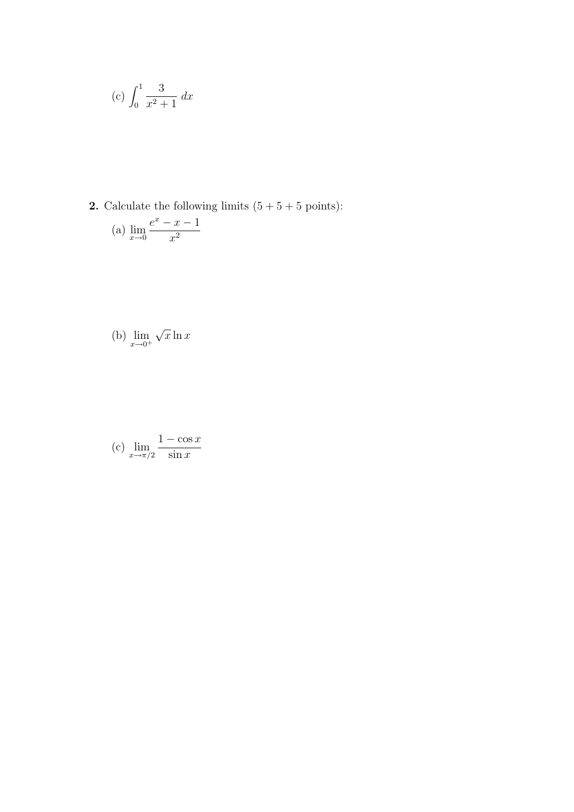(c) 
$$
\int_0^1 \frac{3}{x^2 + 1} dx
$$

**2.** Calculate the following limits  $(5 + 5 + 5 \text{ points})$ :

(a) 
$$
\lim_{x \to 0} \frac{e^x - x - 1}{x^2}
$$

(b) 
$$
\lim_{x \to 0^+} \sqrt{x} \ln x
$$

(c) 
$$
\lim_{x \to \pi/2} \frac{1 - \cos x}{\sin x}
$$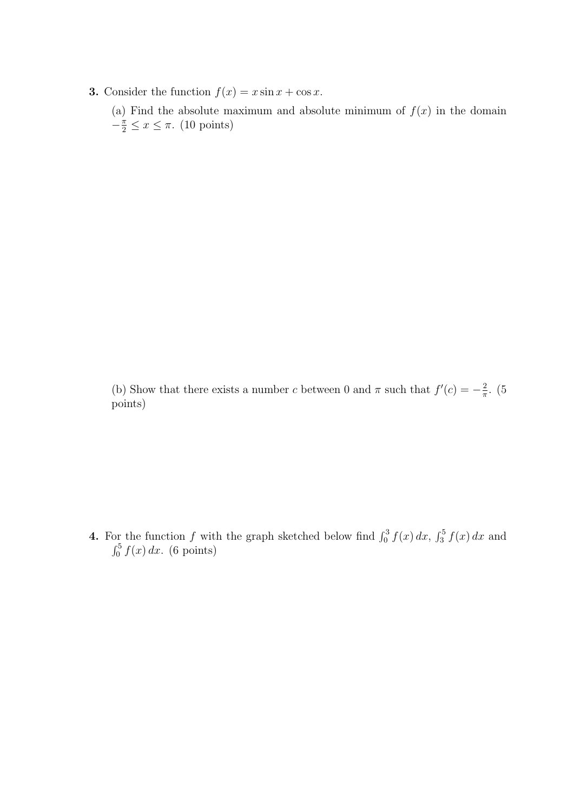**3.** Consider the function  $f(x) = x \sin x + \cos x$ .

(a) Find the absolute maximum and absolute minimum of  $f(x)$  in the domain  $-\frac{\pi}{2} \leq x \leq \pi$ . (10 points)

(b) Show that there exists a number c between 0 and  $\pi$  such that  $f'(c) = -\frac{2}{\pi}$  $\frac{2}{\pi}$ . (5 points)

**4.** For the function f with the graph sketched below find  $\int_0^3 f(x) dx$ ,  $\int_3^5 f(x) dx$  and  $\int_0^5 f(x) dx$ . (6 points)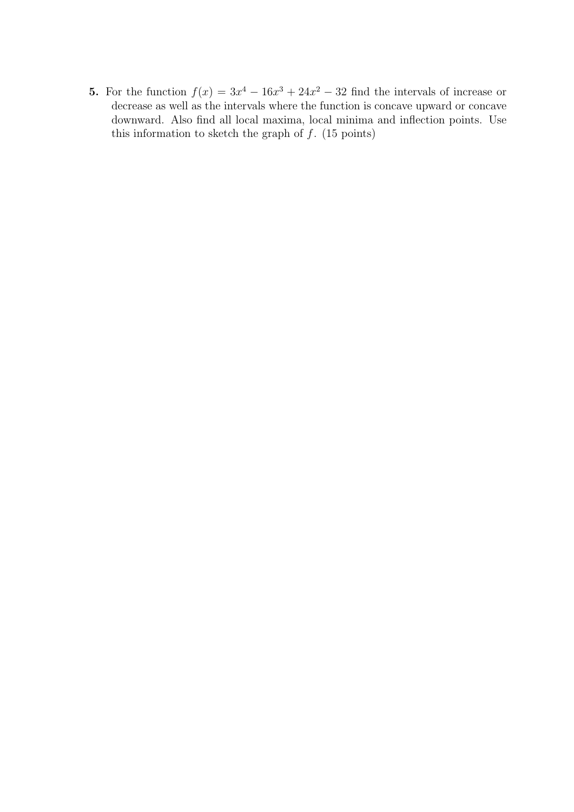5. For the function  $f(x) = 3x^4 - 16x^3 + 24x^2 - 32$  find the intervals of increase or decrease as well as the intervals where the function is concave upward or concave downward. Also find all local maxima, local minima and inflection points. Use this information to sketch the graph of  $f$ . (15 points)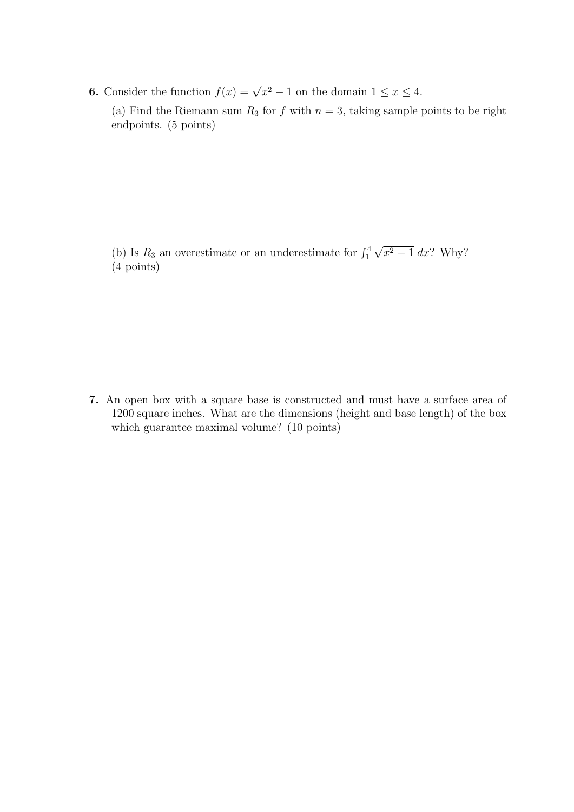**6.** Consider the function  $f(x) = \sqrt{x^2 - 1}$  on the domain  $1 \le x \le 4$ .

(a) Find the Riemann sum  $R_3$  for f with  $n = 3$ , taking sample points to be right endpoints. (5 points)

(b) Is  $R_3$  an overestimate or an underestimate for  $\int_1^4$ √  $x^2-1$  dx? Why? (4 points)

7. An open box with a square base is constructed and must have a surface area of 1200 square inches. What are the dimensions (height and base length) of the box which guarantee maximal volume? (10 points)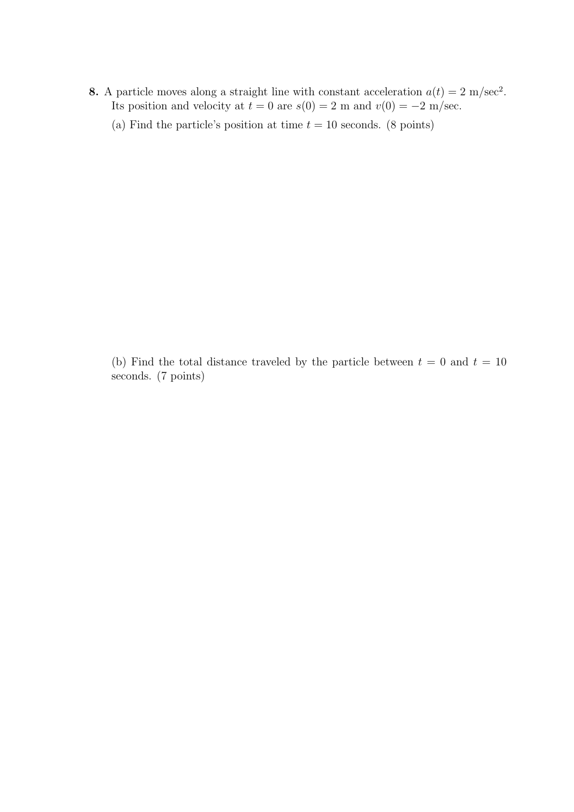8. A particle moves along a straight line with constant acceleration  $a(t) = 2 \text{ m/sec}^2$ . Its position and velocity at  $t = 0$  are  $s(0) = 2$  m and  $v(0) = -2$  m/sec.

(a) Find the particle's position at time  $t = 10$  seconds. (8 points)

(b) Find the total distance traveled by the particle between  $t = 0$  and  $t = 10$ seconds. (7 points)